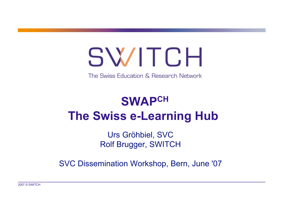## SWITCH

The Swiss Education & Research Network

### **SWAPCH The Swiss e-Learning Hub**

Urs Gröhbiel, SVC Rolf Brugger, SWITCH

SVC Dissemination Workshop, Bern, June '07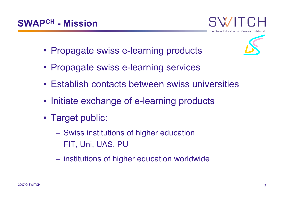

- Propagate swiss e-learning products
- Propagate swiss e-learning services
- Establish contacts between swiss universities
- Initiate exchange of e-learning products
- Target public:
	- Swiss institutions of higher education FIT, Uni, UAS, PU
	- institutions of higher education worldwide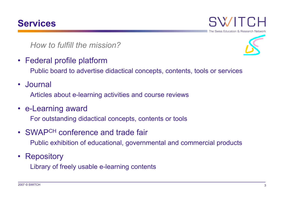#### **Services**



*How to fulfill the mission?*

• Federal profile platform

- Public board to advertise didactical concepts, contents, tools or services
- Journal

Articles about e-learning activities and course reviews

• e-Learning award

For outstanding didactical concepts, contents or tools

- SWAPCH conference and trade fair Public exhibition of educational, governmental and commercial products
- Repository

Library of freely usable e-learning contents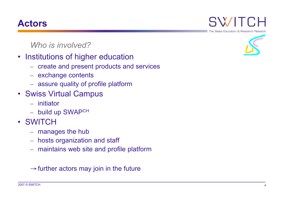#### **Actors**

*Who is involved?*

- Institutions of higher education
	- create and present products and services
	- exchange contents
	- assure quality of profile platform
- Swiss Virtual Campus
	- initiator
	- build up SWAPCH
- SWITCH
	- manages the hub
	- hosts organization and staff
	- maintains web site and profile platform

 $\rightarrow$  further actors may join in the future

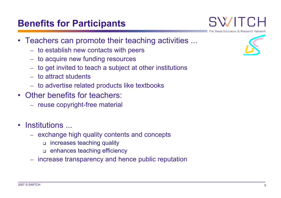#### **Benefits for Participants**

- Teachers can promote their teaching activities ...
	- to establish new contacts with peers
	- to acquire new funding resources
	- to get invited to teach a subject at other institutions
	- to attract students
	- to advertise related products like textbooks
- Other benefits for teachers:
	- reuse copyright-free material
- Institutions ...
	- exchange high quality contents and concepts
		- increases teaching quality
		- enhances teaching efficiency
	- increase transparency and hence public reputation



The Swiss Education & Research Networ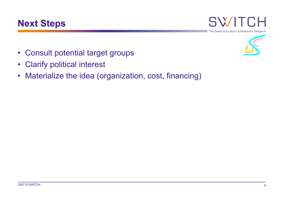





- Consult potential target groups
- Clarify political interest
- Materialize the idea (organization, cost, financing)